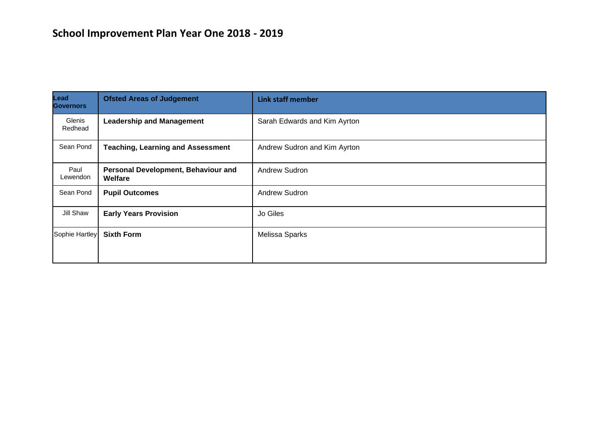# **School Improvement Plan Year One 2018 - 2019**

| Lead<br><b>Governors</b> | <b>Ofsted Areas of Judgement</b>               | <b>Link staff member</b>     |
|--------------------------|------------------------------------------------|------------------------------|
| Glenis<br>Redhead        | <b>Leadership and Management</b>               | Sarah Edwards and Kim Ayrton |
| Sean Pond                | <b>Teaching, Learning and Assessment</b>       | Andrew Sudron and Kim Ayrton |
| Paul<br>Lewendon         | Personal Development, Behaviour and<br>Welfare | <b>Andrew Sudron</b>         |
| Sean Pond                | <b>Pupil Outcomes</b>                          | Andrew Sudron                |
| Jill Shaw                | <b>Early Years Provision</b>                   | Jo Giles                     |
| Sophie Hartley           | <b>Sixth Form</b>                              | Melissa Sparks               |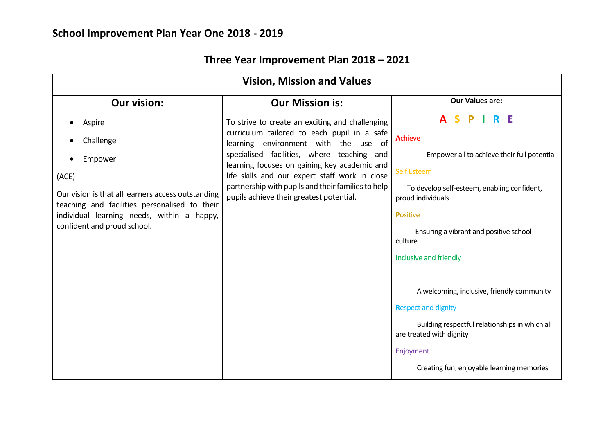| <b>Vision, Mission and Values</b>                                                                   |                                                                                                                                                                                                                                                                                                                                       |                                                                            |  |  |
|-----------------------------------------------------------------------------------------------------|---------------------------------------------------------------------------------------------------------------------------------------------------------------------------------------------------------------------------------------------------------------------------------------------------------------------------------------|----------------------------------------------------------------------------|--|--|
| <b>Our vision:</b>                                                                                  | <b>Our Mission is:</b>                                                                                                                                                                                                                                                                                                                | <b>Our Values are:</b>                                                     |  |  |
| Aspire                                                                                              | To strive to create an exciting and challenging                                                                                                                                                                                                                                                                                       | <b>ASPIRE</b>                                                              |  |  |
| Challenge                                                                                           | curriculum tailored to each pupil in a safe<br>learning environment with the use of<br>specialised facilities, where teaching and<br>learning focuses on gaining key academic and<br>life skills and our expert staff work in close<br>partnership with pupils and their families to help<br>pupils achieve their greatest potential. | Achieve                                                                    |  |  |
| Empower                                                                                             |                                                                                                                                                                                                                                                                                                                                       | Empower all to achieve their full potential                                |  |  |
| (ACE)                                                                                               |                                                                                                                                                                                                                                                                                                                                       | <b>Self Esteem</b>                                                         |  |  |
| Our vision is that all learners access outstanding<br>teaching and facilities personalised to their |                                                                                                                                                                                                                                                                                                                                       | To develop self-esteem, enabling confident,<br>proud individuals           |  |  |
| individual learning needs, within a happy,                                                          |                                                                                                                                                                                                                                                                                                                                       | <b>Positive</b>                                                            |  |  |
| confident and proud school.                                                                         |                                                                                                                                                                                                                                                                                                                                       | Ensuring a vibrant and positive school<br>culture                          |  |  |
|                                                                                                     |                                                                                                                                                                                                                                                                                                                                       | <b>Inclusive and friendly</b>                                              |  |  |
|                                                                                                     |                                                                                                                                                                                                                                                                                                                                       |                                                                            |  |  |
|                                                                                                     |                                                                                                                                                                                                                                                                                                                                       | A welcoming, inclusive, friendly community                                 |  |  |
|                                                                                                     |                                                                                                                                                                                                                                                                                                                                       | <b>Respect and dignity</b>                                                 |  |  |
|                                                                                                     |                                                                                                                                                                                                                                                                                                                                       | Building respectful relationships in which all<br>are treated with dignity |  |  |
|                                                                                                     |                                                                                                                                                                                                                                                                                                                                       | Enjoyment                                                                  |  |  |
|                                                                                                     |                                                                                                                                                                                                                                                                                                                                       | Creating fun, enjoyable learning memories                                  |  |  |

# **Three Year Improvement Plan 2018 – 2021**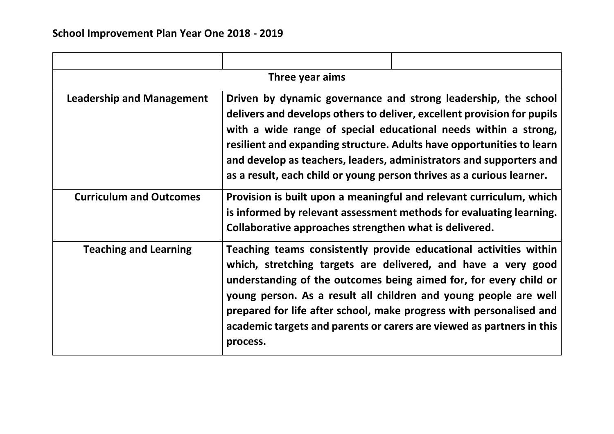| Three year aims                  |                                                                                                                                                                                                                                                                                                                                                                                                                                       |                                                                                                                                                                                                                                                                                                                                                                                                                             |  |  |
|----------------------------------|---------------------------------------------------------------------------------------------------------------------------------------------------------------------------------------------------------------------------------------------------------------------------------------------------------------------------------------------------------------------------------------------------------------------------------------|-----------------------------------------------------------------------------------------------------------------------------------------------------------------------------------------------------------------------------------------------------------------------------------------------------------------------------------------------------------------------------------------------------------------------------|--|--|
| <b>Leadership and Management</b> | Driven by dynamic governance and strong leadership, the school<br>delivers and develops others to deliver, excellent provision for pupils<br>with a wide range of special educational needs within a strong,<br>resilient and expanding structure. Adults have opportunities to learn<br>and develop as teachers, leaders, administrators and supporters and<br>as a result, each child or young person thrives as a curious learner. |                                                                                                                                                                                                                                                                                                                                                                                                                             |  |  |
| <b>Curriculum and Outcomes</b>   | Collaborative approaches strengthen what is delivered.                                                                                                                                                                                                                                                                                                                                                                                | Provision is built upon a meaningful and relevant curriculum, which<br>is informed by relevant assessment methods for evaluating learning.                                                                                                                                                                                                                                                                                  |  |  |
| <b>Teaching and Learning</b>     | process.                                                                                                                                                                                                                                                                                                                                                                                                                              | Teaching teams consistently provide educational activities within<br>which, stretching targets are delivered, and have a very good<br>understanding of the outcomes being aimed for, for every child or<br>young person. As a result all children and young people are well<br>prepared for life after school, make progress with personalised and<br>academic targets and parents or carers are viewed as partners in this |  |  |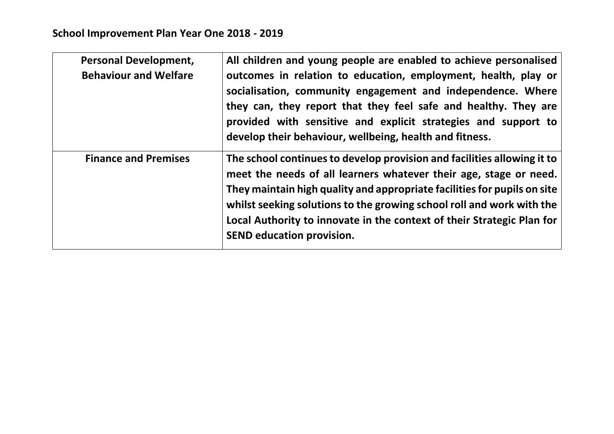| <b>Personal Development,</b> | All children and young people are enabled to achieve personalised        |
|------------------------------|--------------------------------------------------------------------------|
| <b>Behaviour and Welfare</b> | outcomes in relation to education, employment, health, play or           |
|                              | socialisation, community engagement and independence. Where              |
|                              | they can, they report that they feel safe and healthy. They are          |
|                              | provided with sensitive and explicit strategies and support to           |
|                              | develop their behaviour, wellbeing, health and fitness.                  |
| <b>Finance and Premises</b>  | The school continues to develop provision and facilities allowing it to  |
|                              | meet the needs of all learners whatever their age, stage or need.        |
|                              | They maintain high quality and appropriate facilities for pupils on site |
|                              | whilst seeking solutions to the growing school roll and work with the    |
|                              | Local Authority to innovate in the context of their Strategic Plan for   |
|                              | <b>SEND education provision.</b>                                         |
|                              |                                                                          |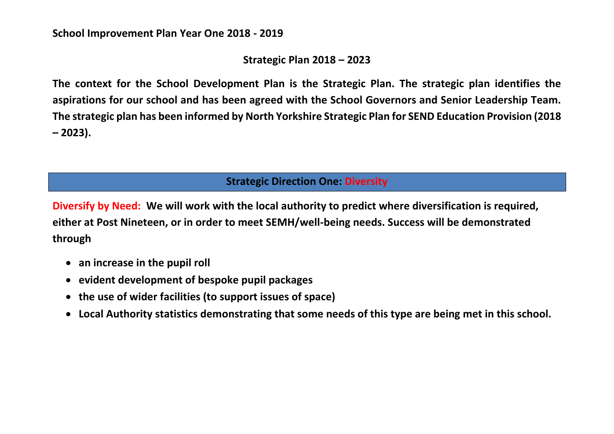## **Strategic Plan 2018 – 2023**

**The context for the School Development Plan is the Strategic Plan. The strategic plan identifies the aspirations for our school and has been agreed with the School Governors and Senior Leadership Team. The strategic plan has been informed by North Yorkshire Strategic Plan for SEND Education Provision (2018 – 2023).**

### **Strategic Direction One: Diversity**

**Diversify by Need: We will work with the local authority to predict where diversification is required, either at Post Nineteen, or in order to meet SEMH/well-being needs. Success will be demonstrated through** 

- **an increase in the pupil roll**
- **evident development of bespoke pupil packages**
- **the use of wider facilities (to support issues of space)**
- **Local Authority statistics demonstrating that some needs of this type are being met in this school.**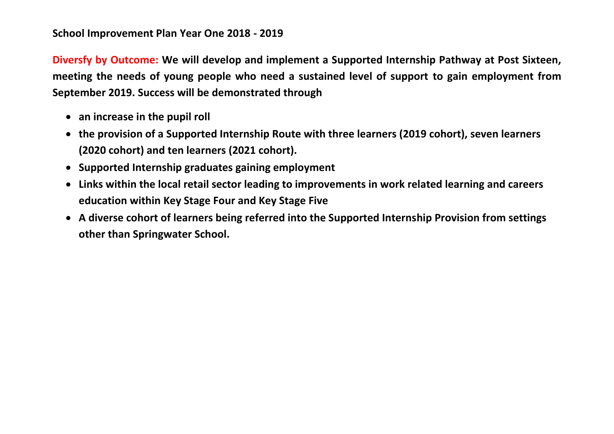**Diversfy by Outcome: We will develop and implement a Supported Internship Pathway at Post Sixteen, meeting the needs of young people who need a sustained level of support to gain employment from September 2019. Success will be demonstrated through**

- **an increase in the pupil roll**
- **the provision of a Supported Internship Route with three learners (2019 cohort), seven learners (2020 cohort) and ten learners (2021 cohort).**
- **Supported Internship graduates gaining employment**
- **Links within the local retail sector leading to improvements in work related learning and careers education within Key Stage Four and Key Stage Five**
- **A diverse cohort of learners being referred into the Supported Internship Provision from settings other than Springwater School.**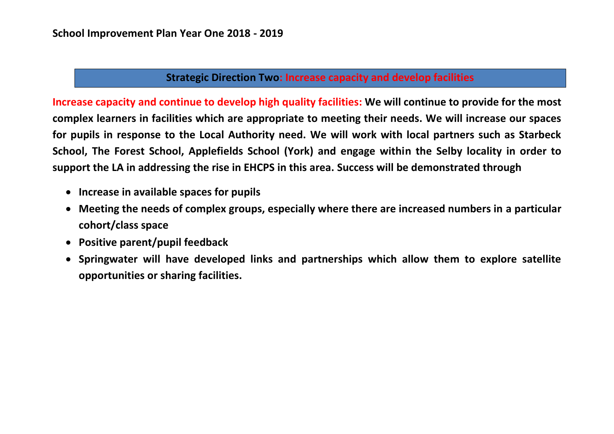### **Strategic Direction Two: Increase capacity and develop facilities**

**Increase capacity and continue to develop high quality facilities: We will continue to provide for the most complex learners in facilities which are appropriate to meeting their needs. We will increase our spaces for pupils in response to the Local Authority need. We will work with local partners such as Starbeck School, The Forest School, Applefields School (York) and engage within the Selby locality in order to support the LA in addressing the rise in EHCPS in this area. Success will be demonstrated through**

- **Increase in available spaces for pupils**
- **Meeting the needs of complex groups, especially where there are increased numbers in a particular cohort/class space**
- **Positive parent/pupil feedback**
- **Springwater will have developed links and partnerships which allow them to explore satellite opportunities or sharing facilities.**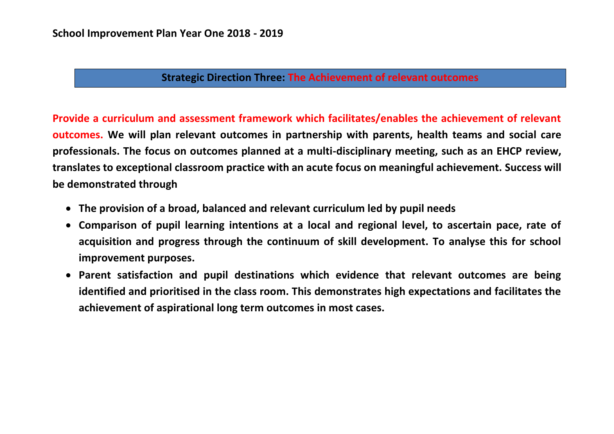#### **Strategic Direction Three: The Achievement of relevant outcomes**

**Provide a curriculum and assessment framework which facilitates/enables the achievement of relevant outcomes. We will plan relevant outcomes in partnership with parents, health teams and social care professionals. The focus on outcomes planned at a multi-disciplinary meeting, such as an EHCP review, translates to exceptional classroom practice with an acute focus on meaningful achievement. Success will be demonstrated through**

- **The provision of a broad, balanced and relevant curriculum led by pupil needs**
- **Comparison of pupil learning intentions at a local and regional level, to ascertain pace, rate of acquisition and progress through the continuum of skill development. To analyse this for school improvement purposes.**
- **Parent satisfaction and pupil destinations which evidence that relevant outcomes are being identified and prioritised in the class room. This demonstrates high expectations and facilitates the achievement of aspirational long term outcomes in most cases.**